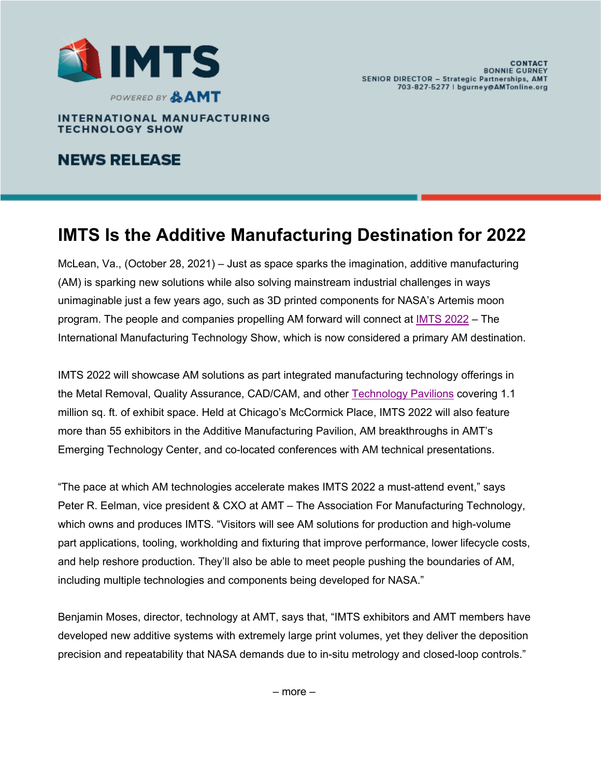

**INTERNATIONAL MANUFACTURING TECHNOLOGY SHOW** 

### **NEWS RELEASE**

## **IMTS Is the Additive Manufacturing Destination for 2022**

McLean, Va., (October 28, 2021) – Just as space sparks the imagination, additive manufacturing (AM) is sparking new solutions while also solving mainstream industrial challenges in ways unimaginable just a few years ago, such as 3D printed components for NASA's Artemis moon program. The people and companies propelling AM forward will connect at IMTS 2022 – The International Manufacturing Technology Show, which is now considered a primary AM destination.

IMTS 2022 will showcase AM solutions as part integrated manufacturing technology offerings in the Metal Removal, Quality Assurance, CAD/CAM, and other Technology Pavilions covering 1.1 million sq. ft. of exhibit space. Held at Chicago's McCormick Place, IMTS 2022 will also feature more than 55 exhibitors in the Additive Manufacturing Pavilion, AM breakthroughs in AMT's Emerging Technology Center, and co-located conferences with AM technical presentations.

"The pace at which AM technologies accelerate makes IMTS 2022 a must-attend event," says Peter R. Eelman, vice president & CXO at AMT – The Association For Manufacturing Technology, which owns and produces IMTS. "Visitors will see AM solutions for production and high-volume part applications, tooling, workholding and fixturing that improve performance, lower lifecycle costs, and help reshore production. They'll also be able to meet people pushing the boundaries of AM, including multiple technologies and components being developed for NASA."

Benjamin Moses, director, technology at AMT, says that, "IMTS exhibitors and AMT members have developed new additive systems with extremely large print volumes, yet they deliver the deposition precision and repeatability that NASA demands due to in-situ metrology and closed-loop controls."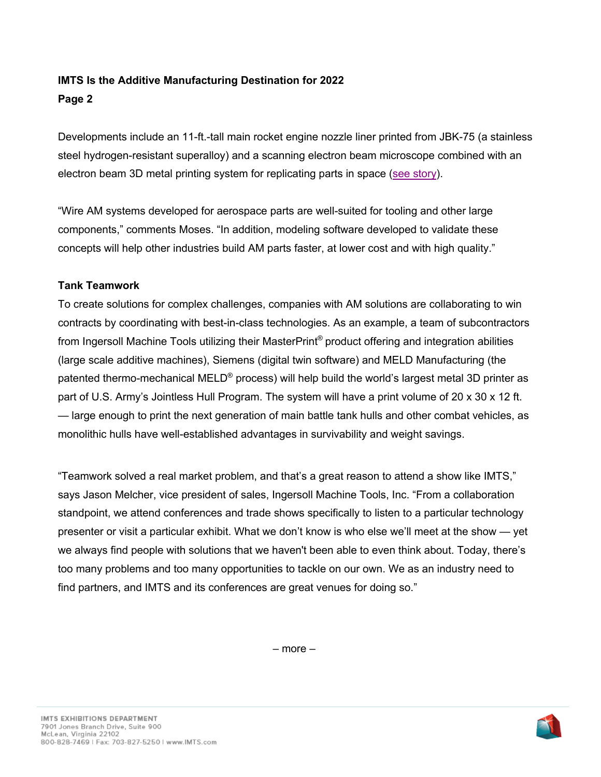### **IMTS Is the Additive Manufacturing Destination for 2022 Page 2**

Developments include an 11-ft.-tall main rocket engine nozzle liner printed from JBK-75 (a stainless steel hydrogen-resistant superalloy) and a scanning electron beam microscope combined with an electron beam 3D metal printing system for replicating parts in space (see story).

"Wire AM systems developed for aerospace parts are well-suited for tooling and other large components," comments Moses. "In addition, modeling software developed to validate these concepts will help other industries build AM parts faster, at lower cost and with high quality."

### **Tank Teamwork**

To create solutions for complex challenges, companies with AM solutions are collaborating to win contracts by coordinating with best-in-class technologies. As an example, a team of subcontractors from Ingersoll Machine Tools utilizing their MasterPrint® product offering and integration abilities (large scale additive machines), Siemens (digital twin software) and MELD Manufacturing (the patented thermo-mechanical MELD<sup>®</sup> process) will help build the world's largest metal 3D printer as part of U.S. Army's Jointless Hull Program. The system will have a print volume of 20 x 30 x 12 ft. — large enough to print the next generation of main battle tank hulls and other combat vehicles, as monolithic hulls have well-established advantages in survivability and weight savings.

"Teamwork solved a real market problem, and that's a great reason to attend a show like IMTS," says Jason Melcher, vice president of sales, Ingersoll Machine Tools, Inc. "From a collaboration standpoint, we attend conferences and trade shows specifically to listen to a particular technology presenter or visit a particular exhibit. What we don't know is who else we'll meet at the show — yet we always find people with solutions that we haven't been able to even think about. Today, there's too many problems and too many opportunities to tackle on our own. We as an industry need to find partners, and IMTS and its conferences are great venues for doing so."

– more –

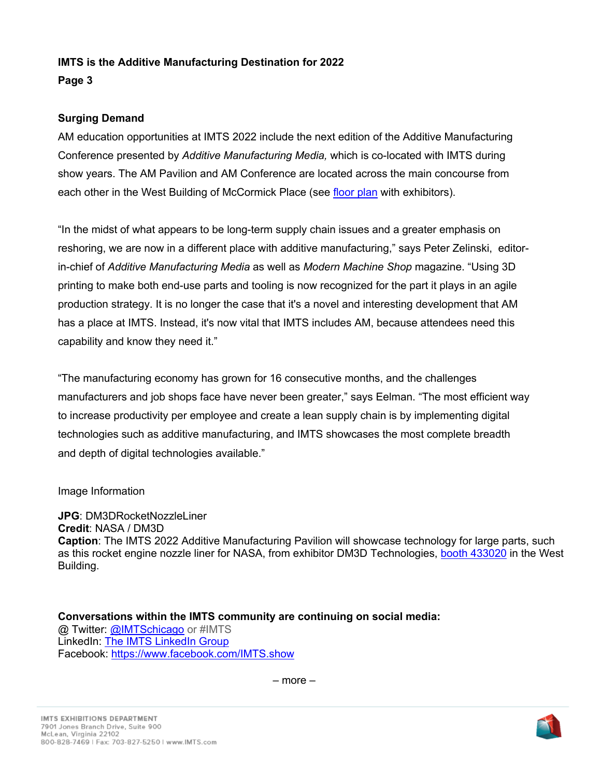# **IMTS is the Additive Manufacturing Destination for 2022**

### **Page 3**

### **Surging Demand**

AM education opportunities at IMTS 2022 include the next edition of the Additive Manufacturing Conference presented by *Additive Manufacturing Media,* which is co-located with IMTS during show years. The AM Pavilion and AM Conference are located across the main concourse from each other in the West Building of McCormick Place (see floor plan with exhibitors).

"In the midst of what appears to be long-term supply chain issues and a greater emphasis on reshoring, we are now in a different place with additive manufacturing," says Peter Zelinski, editorin-chief of *Additive Manufacturing Media* as well as *Modern Machine Shop* magazine. "Using 3D printing to make both end-use parts and tooling is now recognized for the part it plays in an agile production strategy. It is no longer the case that it's a novel and interesting development that AM has a place at IMTS. Instead, it's now vital that IMTS includes AM, because attendees need this capability and know they need it."

"The manufacturing economy has grown for 16 consecutive months, and the challenges manufacturers and job shops face have never been greater," says Eelman. "The most efficient way to increase productivity per employee and create a lean supply chain is by implementing digital technologies such as additive manufacturing, and IMTS showcases the most complete breadth and depth of digital technologies available."

### Image Information

**JPG**: DM3DRocketNozzleLiner **Credit**: NASA / DM3D **Caption**: The IMTS 2022 Additive Manufacturing Pavilion will showcase technology for large parts, such as this rocket engine nozzle liner for NASA, from exhibitor DM3D Technologies, booth 433020 in the West Building.

**Conversations within the IMTS community are continuing on social media:** @ Twitter: @IMTSchicago or #IMTS LinkedIn: The IMTS LinkedIn Group Facebook: https://www.facebook.com/IMTS.show

– more –